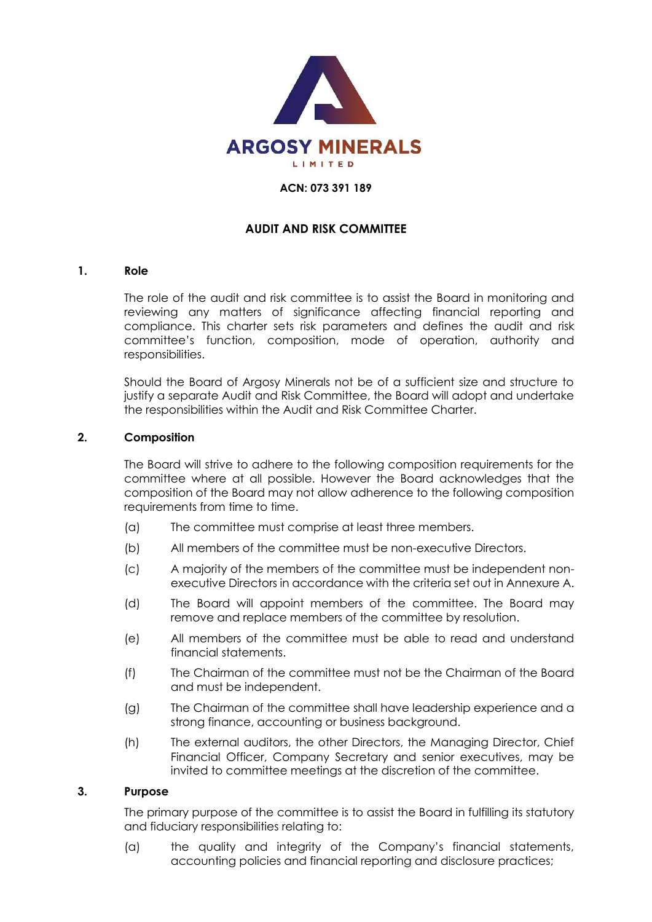

#### **ACN: 073 391 189**

## **AUDIT AND RISK COMMITTEE**

### **1. Role**

The role of the audit and risk committee is to assist the Board in monitoring and reviewing any matters of significance affecting financial reporting and compliance. This charter sets risk parameters and defines the audit and risk committee's function, composition, mode of operation, authority and responsibilities.

Should the Board of Argosy Minerals not be of a sufficient size and structure to justify a separate Audit and Risk Committee, the Board will adopt and undertake the responsibilities within the Audit and Risk Committee Charter.

### **2. Composition**

The Board will strive to adhere to the following composition requirements for the committee where at all possible. However the Board acknowledges that the composition of the Board may not allow adherence to the following composition requirements from time to time.

- (a) The committee must comprise at least three members.
- (b) All members of the committee must be non-executive Directors.
- (c) A majority of the members of the committee must be independent nonexecutive Directors in accordance with the criteria set out in Annexure A.
- (d) The Board will appoint members of the committee. The Board may remove and replace members of the committee by resolution.
- (e) All members of the committee must be able to read and understand financial statements.
- (f) The Chairman of the committee must not be the Chairman of the Board and must be independent.
- (g) The Chairman of the committee shall have leadership experience and a strong finance, accounting or business background.
- (h) The external auditors, the other Directors, the Managing Director, Chief Financial Officer, Company Secretary and senior executives, may be invited to committee meetings at the discretion of the committee.

#### **3. Purpose**

The primary purpose of the committee is to assist the Board in fulfilling its statutory and fiduciary responsibilities relating to:

(a) the quality and integrity of the Company's financial statements, accounting policies and financial reporting and disclosure practices;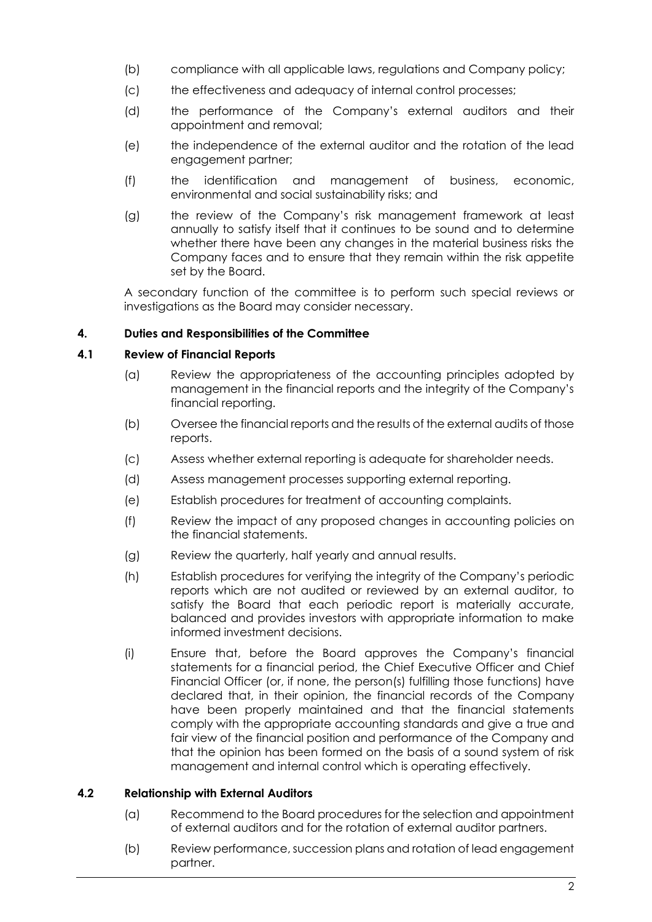- (b) compliance with all applicable laws, regulations and Company policy;
- (c) the effectiveness and adequacy of internal control processes;
- (d) the performance of the Company's external auditors and their appointment and removal;
- (e) the independence of the external auditor and the rotation of the lead engagement partner;
- (f) the identification and management of business, economic, environmental and social sustainability risks; and
- (g) the review of the Company's risk management framework at least annually to satisfy itself that it continues to be sound and to determine whether there have been any changes in the material business risks the Company faces and to ensure that they remain within the risk appetite set by the Board.

A secondary function of the committee is to perform such special reviews or investigations as the Board may consider necessary.

# **4. Duties and Responsibilities of the Committee**

## **4.1 Review of Financial Reports**

- (a) Review the appropriateness of the accounting principles adopted by management in the financial reports and the integrity of the Company's financial reporting.
- (b) Oversee the financial reports and the results of the external audits of those reports.
- (c) Assess whether external reporting is adequate for shareholder needs.
- (d) Assess management processes supporting external reporting.
- (e) Establish procedures for treatment of accounting complaints.
- (f) Review the impact of any proposed changes in accounting policies on the financial statements.
- (g) Review the quarterly, half yearly and annual results.
- (h) Establish procedures for verifying the integrity of the Company's periodic reports which are not audited or reviewed by an external auditor, to satisfy the Board that each periodic report is materially accurate, balanced and provides investors with appropriate information to make informed investment decisions.
- (i) Ensure that, before the Board approves the Company's financial statements for a financial period, the Chief Executive Officer and Chief Financial Officer (or, if none, the person(s) fulfilling those functions) have declared that, in their opinion, the financial records of the Company have been properly maintained and that the financial statements comply with the appropriate accounting standards and give a true and fair view of the financial position and performance of the Company and that the opinion has been formed on the basis of a sound system of risk management and internal control which is operating effectively.

## **4.2 Relationship with External Auditors**

- (a) Recommend to the Board procedures for the selection and appointment of external auditors and for the rotation of external auditor partners.
- (b) Review performance, succession plans and rotation of lead engagement partner.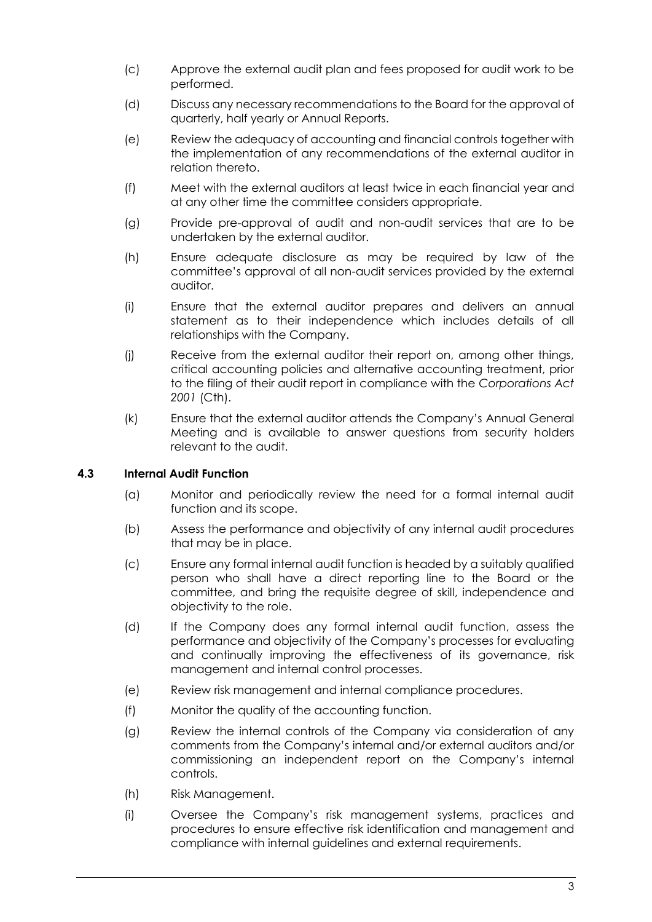- (c) Approve the external audit plan and fees proposed for audit work to be performed.
- (d) Discuss any necessary recommendations to the Board for the approval of quarterly, half yearly or Annual Reports.
- (e) Review the adequacy of accounting and financial controls together with the implementation of any recommendations of the external auditor in relation thereto.
- (f) Meet with the external auditors at least twice in each financial year and at any other time the committee considers appropriate.
- (g) Provide pre-approval of audit and non-audit services that are to be undertaken by the external auditor.
- (h) Ensure adequate disclosure as may be required by law of the committee's approval of all non-audit services provided by the external auditor.
- (i) Ensure that the external auditor prepares and delivers an annual statement as to their independence which includes details of all relationships with the Company.
- (j) Receive from the external auditor their report on, among other things, critical accounting policies and alternative accounting treatment, prior to the filing of their audit report in compliance with the *Corporations Act 2001* (Cth).
- (k) Ensure that the external auditor attends the Company's Annual General Meeting and is available to answer questions from security holders relevant to the audit.

# **4.3 Internal Audit Function**

- (a) Monitor and periodically review the need for a formal internal audit function and its scope.
- (b) Assess the performance and objectivity of any internal audit procedures that may be in place.
- (c) Ensure any formal internal audit function is headed by a suitably qualified person who shall have a direct reporting line to the Board or the committee, and bring the requisite degree of skill, independence and objectivity to the role.
- (d) If the Company does any formal internal audit function, assess the performance and objectivity of the Company's processes for evaluating and continually improving the effectiveness of its governance, risk management and internal control processes.
- (e) Review risk management and internal compliance procedures.
- (f) Monitor the quality of the accounting function.
- (g) Review the internal controls of the Company via consideration of any comments from the Company's internal and/or external auditors and/or commissioning an independent report on the Company's internal controls.
- (h) Risk Management.
- (i) Oversee the Company's risk management systems, practices and procedures to ensure effective risk identification and management and compliance with internal guidelines and external requirements.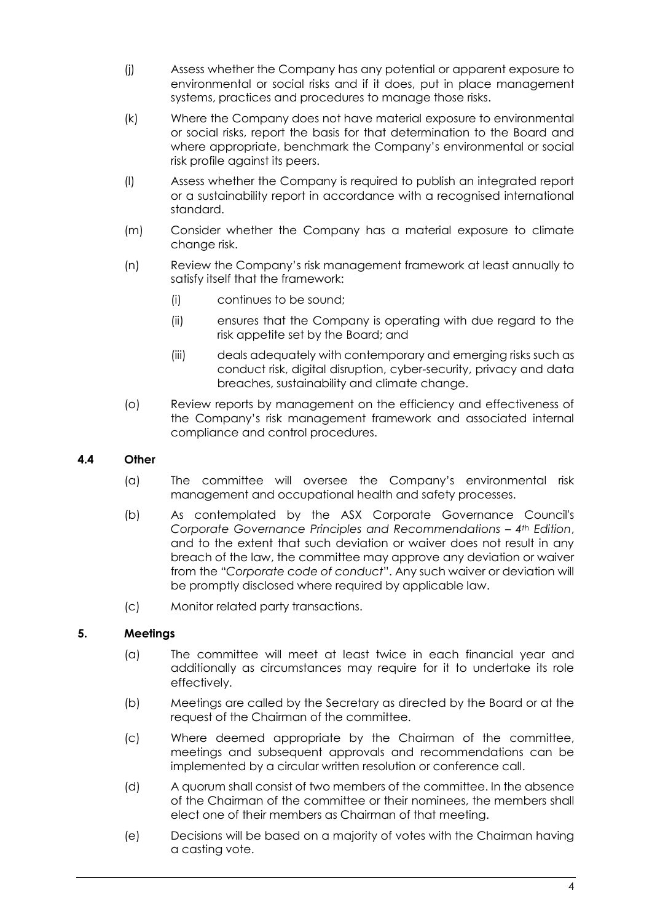- (j) Assess whether the Company has any potential or apparent exposure to environmental or social risks and if it does, put in place management systems, practices and procedures to manage those risks.
- (k) Where the Company does not have material exposure to environmental or social risks, report the basis for that determination to the Board and where appropriate, benchmark the Company's environmental or social risk profile against its peers.
- (l) Assess whether the Company is required to publish an integrated report or a sustainability report in accordance with a recognised international standard.
- (m) Consider whether the Company has a material exposure to climate change risk.
- (n) Review the Company's risk management framework at least annually to satisfy itself that the framework:
	- (i) continues to be sound;
	- (ii) ensures that the Company is operating with due regard to the risk appetite set by the Board; and
	- (iii) deals adequately with contemporary and emerging risks such as conduct risk, digital disruption, cyber-security, privacy and data breaches, sustainability and climate change.
- (o) Review reports by management on the efficiency and effectiveness of the Company's risk management framework and associated internal compliance and control procedures.

## **4.4 Other**

- (a) The committee will oversee the Company's environmental risk management and occupational health and safety processes.
- (b) As contemplated by the ASX Corporate Governance Council's *Corporate Governance Principles and Recommendations – 4th Edition*, and to the extent that such deviation or waiver does not result in any breach of the law, the committee may approve any deviation or waiver from the "*Corporate code of conduct*". Any such waiver or deviation will be promptly disclosed where required by applicable law.
- (c) Monitor related party transactions.

# **5. Meetings**

- (a) The committee will meet at least twice in each financial year and additionally as circumstances may require for it to undertake its role effectively.
- (b) Meetings are called by the Secretary as directed by the Board or at the request of the Chairman of the committee.
- (c) Where deemed appropriate by the Chairman of the committee, meetings and subsequent approvals and recommendations can be implemented by a circular written resolution or conference call.
- (d) A quorum shall consist of two members of the committee. In the absence of the Chairman of the committee or their nominees, the members shall elect one of their members as Chairman of that meeting.
- (e) Decisions will be based on a majority of votes with the Chairman having a casting vote.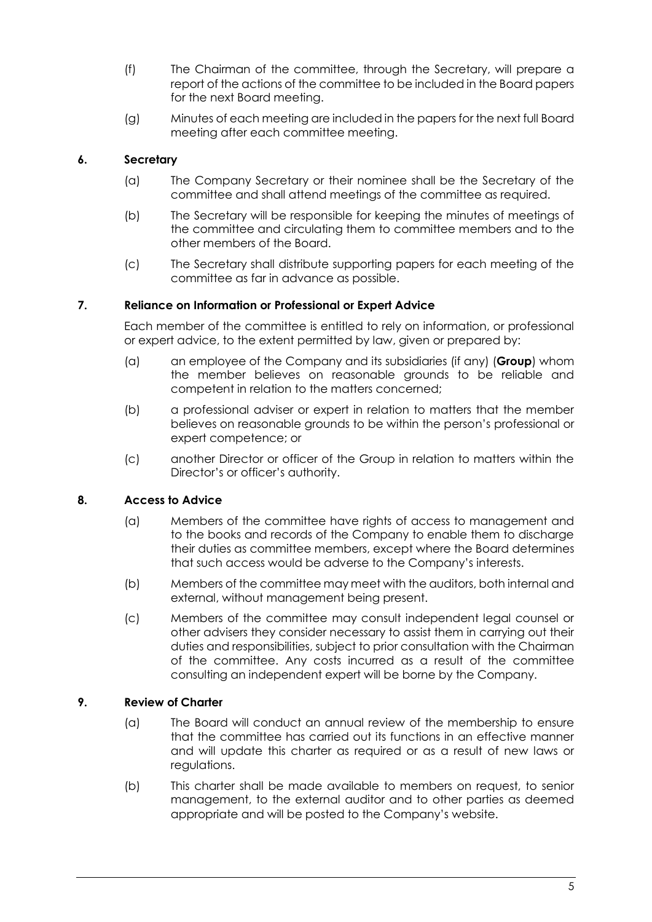- (f) The Chairman of the committee, through the Secretary, will prepare a report of the actions of the committee to be included in the Board papers for the next Board meeting.
- (g) Minutes of each meeting are included in the papers for the next full Board meeting after each committee meeting.

# **6. Secretary**

- (a) The Company Secretary or their nominee shall be the Secretary of the committee and shall attend meetings of the committee as required.
- (b) The Secretary will be responsible for keeping the minutes of meetings of the committee and circulating them to committee members and to the other members of the Board.
- (c) The Secretary shall distribute supporting papers for each meeting of the committee as far in advance as possible.

## **7. Reliance on Information or Professional or Expert Advice**

Each member of the committee is entitled to rely on information, or professional or expert advice, to the extent permitted by law, given or prepared by:

- (a) an employee of the Company and its subsidiaries (if any) (**Group**) whom the member believes on reasonable grounds to be reliable and competent in relation to the matters concerned;
- (b) a professional adviser or expert in relation to matters that the member believes on reasonable grounds to be within the person's professional or expert competence; or
- (c) another Director or officer of the Group in relation to matters within the Director's or officer's authority.

# **8. Access to Advice**

- (a) Members of the committee have rights of access to management and to the books and records of the Company to enable them to discharge their duties as committee members, except where the Board determines that such access would be adverse to the Company's interests.
- (b) Members of the committee may meet with the auditors, both internal and external, without management being present.
- (c) Members of the committee may consult independent legal counsel or other advisers they consider necessary to assist them in carrying out their duties and responsibilities, subject to prior consultation with the Chairman of the committee. Any costs incurred as a result of the committee consulting an independent expert will be borne by the Company.

## **9. Review of Charter**

- (a) The Board will conduct an annual review of the membership to ensure that the committee has carried out its functions in an effective manner and will update this charter as required or as a result of new laws or regulations.
- (b) This charter shall be made available to members on request, to senior management, to the external auditor and to other parties as deemed appropriate and will be posted to the Company's website.